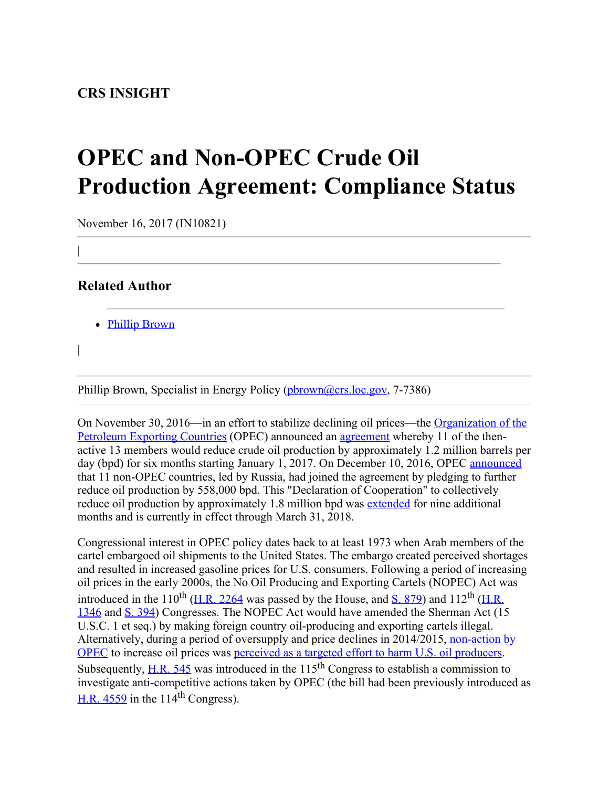## **OPEC and Non-OPEC Crude Oil Production Agreement: Compliance Status**

November 16, 2017 (IN10821)

## **Related Author**

|

|

• [Phillip Brown](http://www.crs.gov/Author/index?id=101554)

Phillip Brown, Specialist in Energy Policy ([pbrown@crs.loc.gov](mailto:pbrown@crs.loc.gov), 7-7386)

On November 30, 2016—in an effort to stabilize declining oil prices—the [Organization of the](http://www.opec.org/opec_web/en/) [Petroleum Exporting Countries](http://www.opec.org/opec_web/en/) (OPEC) announced an [agreement](http://www.opec.org/opec_web/static_files_project/media/downloads/press_room/OPEC%20agreement.pdf) whereby 11 of the thenactive 13 members would reduce crude oil production by approximately 1.2 million barrels per day (bpd) for six months starting January 1, 2017. On December 10, 2016, OPEC [announced](http://www.opec.org/opec_web/en/press_room/3944.htm) that 11 non-OPEC countries, led by Russia, had joined the agreement by pledging to further reduce oil production by 558,000 bpd. This "Declaration of Cooperation" to collectively reduce oil production by approximately 1.8 million bpd was [extended](http://www.opec.org/opec_web/en/press_room/4305.htm) for nine additional months and is currently in effect through March 31, 2018.

Congressional interest in OPEC policy dates back to at least 1973 when Arab members of the cartel embargoed oil shipments to the United States. The embargo created perceived shortages and resulted in increased gasoline prices for U.S. consumers. Following a period of increasing oil prices in the early 2000s, the No Oil Producing and Exporting Cartels (NOPEC) Act was introduced in the 110<sup>th</sup> [\(H.R. 2264](http://www.congress.gov/cgi-lis/bdquery/z?d110:H.R.2264:) was passed by the House, and  $\overline{S}$ , 879) and 112<sup>th</sup> [\(H.R.](http://www.congress.gov/cgi-lis/bdquery/z?d112:H.R.1346:) [1346](http://www.congress.gov/cgi-lis/bdquery/z?d112:H.R.1346:) and [S. 394](http://www.congress.gov/cgi-lis/bdquery/z?d112:S.394:)) Congresses. The NOPEC Act would have amended the Sherman Act (15 U.S.C. 1 et seq.) by making foreign country oil-producing and exporting cartels illegal. Alternatively, during a period of oversupply and price declines in 2014/2015, [non-action by](http://www.opec.org/opec_web/en/press_room/2938.htm) [OPEC](http://www.opec.org/opec_web/en/press_room/2938.htm) to increase oil prices was [perceived as a targeted effort to harm U.S. oil producers](https://www.imf.org/external/pubs/ft/wp/2016/wp16131.pdf). Subsequently,  $H.R. 545$  was introduced in the 115<sup>th</sup> Congress to establish a commission to investigate anti-competitive actions taken by OPEC (the bill had been previously introduced as H.R.  $4559$  in the 114<sup>th</sup> Congress).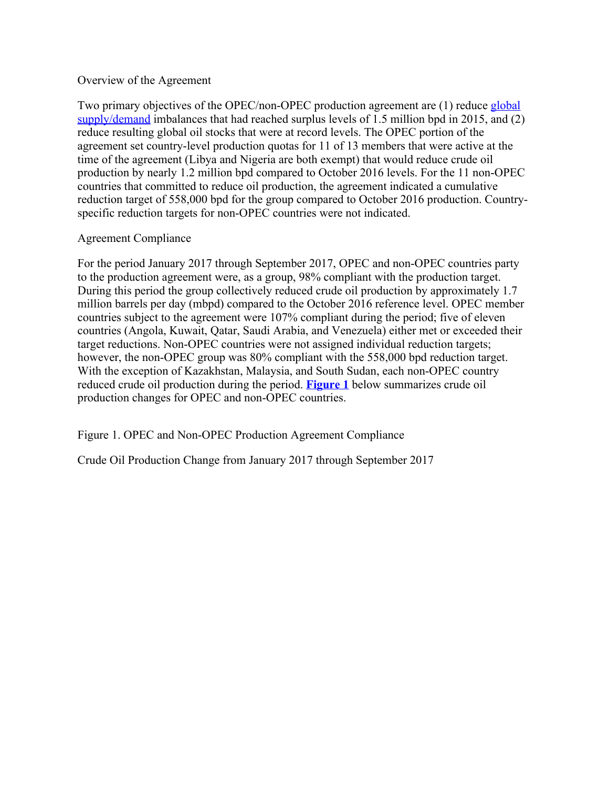## Overview of the Agreement

Two primary objectives of the OPEC/non-OPEC production agreement are (1) reduce [global](https://www.eia.gov/outlooks/steo/images/fig32.png) [supply/demand](https://www.eia.gov/outlooks/steo/images/fig32.png) imbalances that had reached surplus levels of 1.5 million bpd in 2015, and (2) reduce resulting global oil stocks that were at record levels. The OPEC portion of the agreement set country-level production quotas for 11 of 13 members that were active at the time of the agreement (Libya and Nigeria are both exempt) that would reduce crude oil production by nearly 1.2 million bpd compared to October 2016 levels. For the 11 non-OPEC countries that committed to reduce oil production, the agreement indicated a cumulative reduction target of 558,000 bpd for the group compared to October 2016 production. Countryspecific reduction targets for non-OPEC countries were not indicated.

## Agreement Compliance

For the period January 2017 through September 2017, OPEC and non-OPEC countries party to the production agreement were, as a group, 98% compliant with the production target. During this period the group collectively reduced crude oil production by approximately 1.7 million barrels per day (mbpd) compared to the October 2016 reference level. OPEC member countries subject to the agreement were 107% compliant during the period; five of eleven countries (Angola, Kuwait, Qatar, Saudi Arabia, and Venezuela) either met or exceeded their target reductions. Non-OPEC countries were not assigned individual reduction targets; however, the non-OPEC group was  $80\%$  compliant with the 558,000 bpd reduction target. With the exception of Kazakhstan, Malaysia, and South Sudan, each non-OPEC country reduced crude oil production during the period. **[Figure 1](http://www.crs.gov/Reports/IN10821?source=INLanding#_Ref497313722)** below summarizes crude oil production changes for OPEC and non-OPEC countries.

Figure 1. OPEC and Non-OPEC Production Agreement Compliance

Crude Oil Production Change from January 2017 through September 2017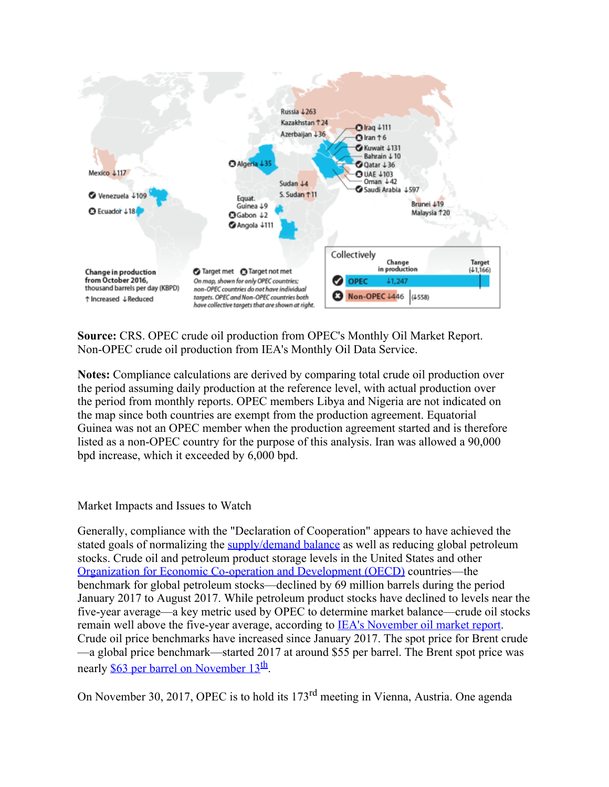

**Source:** CRS. OPEC crude oil production from OPEC's Monthly Oil Market Report. Non-OPEC crude oil production from IEA's Monthly Oil Data Service.

**Notes:** Compliance calculations are derived by comparing total crude oil production over the period assuming daily production at the reference level, with actual production over the period from monthly reports. OPEC members Libya and Nigeria are not indicated on the map since both countries are exempt from the production agreement. Equatorial Guinea was not an OPEC member when the production agreement started and is therefore listed as a non-OPEC country for the purpose of this analysis. Iran was allowed a 90,000 bpd increase, which it exceeded by 6,000 bpd.

Market Impacts and Issues to Watch

Generally, compliance with the "Declaration of Cooperation" appears to have achieved the stated goals of normalizing the [supply/demand balance](https://www.eia.gov/outlooks/steo/images/fig32.png) as well as reducing global petroleum stocks. Crude oil and petroleum product storage levels in the United States and other [Organization for Economic Co-operation and Development](http://www.oecd.org/about/) [\(OECD\)](http://www.oecd.org/about/) countries—the benchmark for global petroleum stocks—declined by 69 million barrels during the period January 2017 to August 2017. While petroleum product stocks have declined to levels near the five-year average—a key metric used by OPEC to determine market balance—crude oil stocks remain well above the five-year average, according to [IEA's November oil market report](https://www.iea.org/oilmarketreport/omrpublic/). Crude oil price benchmarks have increased since January 2017. The spot price for Brent crude —a global price benchmark—started 2017 at around \$55 per barrel. The Brent spot price was nearly \$63 per barrel on November  $13<sup>th</sup>$ .

On November 30, 2017, OPEC is to hold its 173rd meeting in Vienna, Austria. One agenda